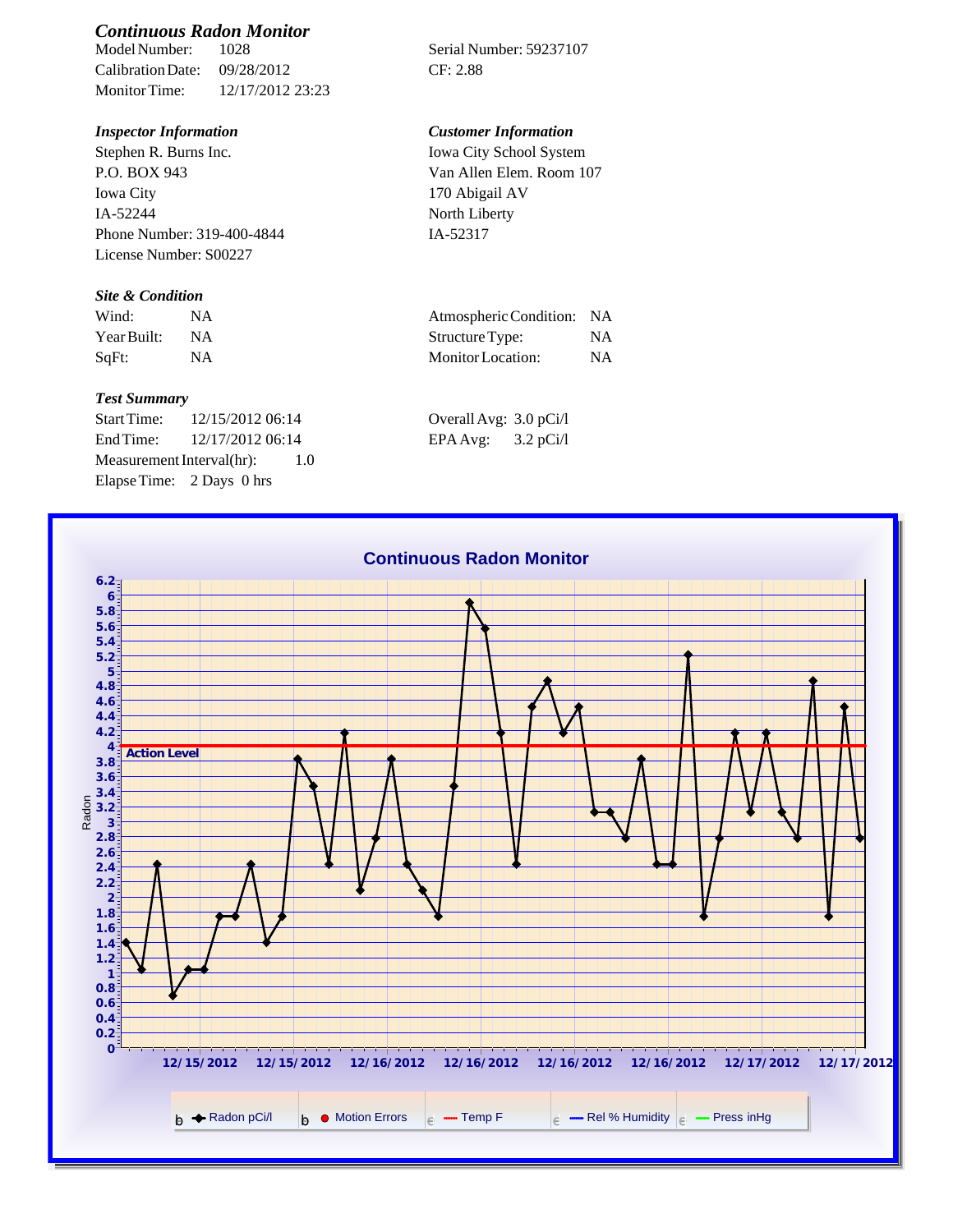# *Continuous Radon Monitor*

Calibration Date: 09/28/2012 CF: 2.88 Monitor Time: 12/17/2012 23:23

Stephen R. Burns Inc. P.O. BOX 943 Iowa City IA-52244 Phone Number: 319-400-4844 License Number: S00227

## *Site & Condition*

| Wind:       |           | Atmospheric Condition: NA |           |
|-------------|-----------|---------------------------|-----------|
| Year Built: | <b>NA</b> | Structure Type:           | NΑ        |
| SaFt:       |           | Monitor Location:         | <b>NA</b> |

#### *Test Summary*

Start Time: 12/15/2012 06:14 End Time:  $12/17/201206:14$ Measurement Interval(hr): 1.0 Elapse Time: 2 Days 0 hrs

Serial Number: 59237107

### *Inspector Information Customer Information*

Iowa City School System Van Allen Elem. Room 107 170 Abigail AV North Liberty IA-52317

| Atmospheric Condition: NA |           |
|---------------------------|-----------|
| Structure Type:           | NA        |
| Monitor Location:         | <b>NA</b> |

| Overall Avg: 3.0 pCi/l |             |
|------------------------|-------------|
| EPA Avg:               | $3.2$ pCi/l |

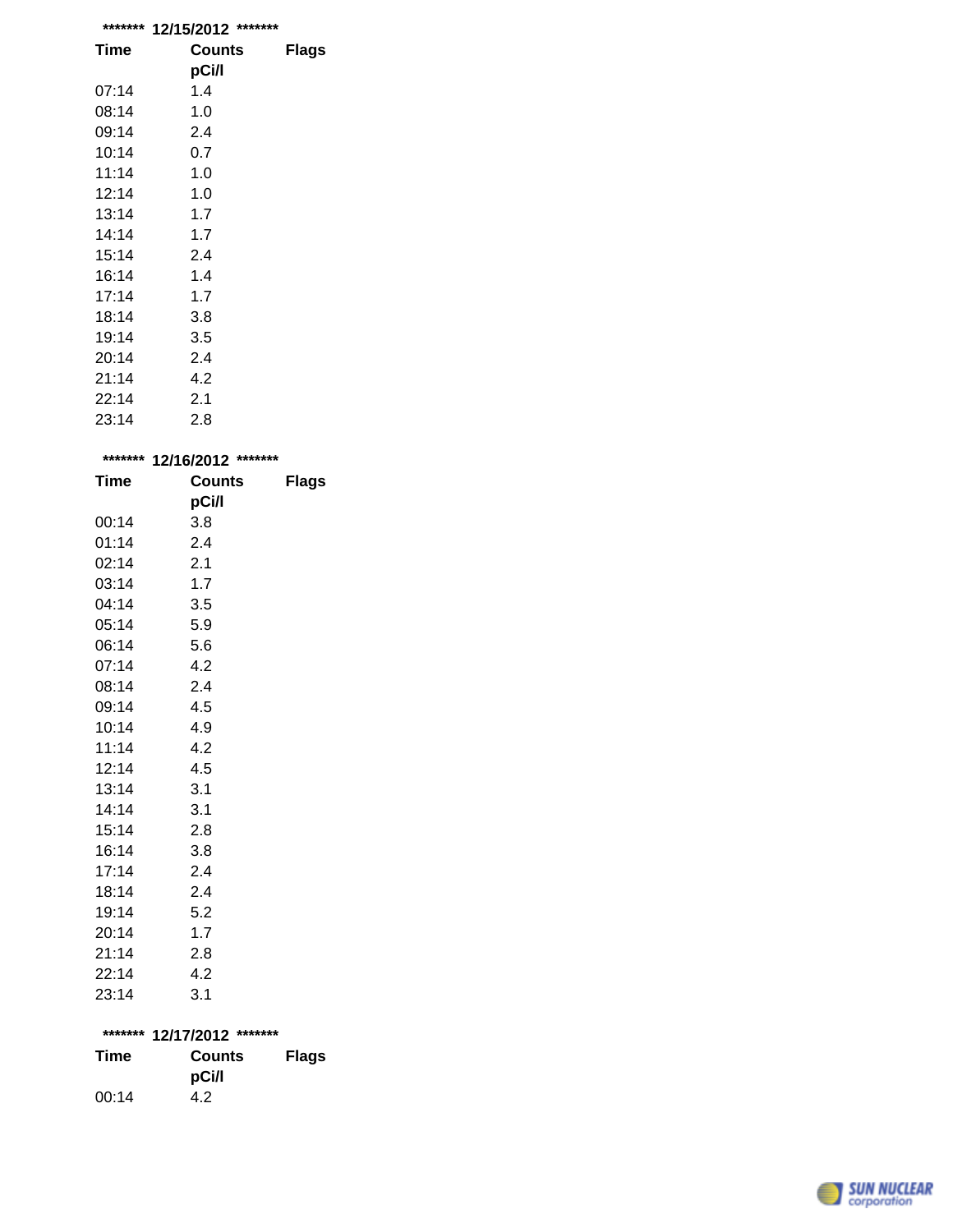| *******     | 12/15/2012<br>******* |       |
|-------------|-----------------------|-------|
| <b>Time</b> | Counts                | Flags |
|             | pCi/l                 |       |
| 07:14       | 1.4                   |       |
| 08:14       | 1.0                   |       |
| 09:14       | 2.4                   |       |
| 10:14       | 0.7                   |       |
| 11:14       | 1.0                   |       |
| 12:14       | 1.0                   |       |
| 13:14       | 1.7                   |       |
| 14:14       | 1.7                   |       |
| 15:14       | 2.4                   |       |
| 16:14       | 1.4                   |       |
| 17:14       | 1.7                   |       |
| 18:14       | 3.8                   |       |
| 19:14       | 3.5                   |       |
| 20:14       | 2.4                   |       |
| 21:14       | 4.2                   |       |
| 22:14       | 2.1                   |       |
| 23:14       | 2.8                   |       |

|       | ******* 12/16/2012 ******* |              |
|-------|----------------------------|--------------|
| Time  | <b>Counts</b>              | <b>Flags</b> |
|       | pCi/l                      |              |
| 00:14 | 3.8                        |              |
| 01:14 | 2.4                        |              |
| 02:14 | 2.1                        |              |
| 03:14 | 1.7                        |              |
| 04:14 | 3.5                        |              |
| 05:14 | 5.9                        |              |
| 06:14 | 5.6                        |              |
| 07:14 | 4.2                        |              |
| 08:14 | 2.4                        |              |
| 09:14 | 4.5                        |              |
| 10:14 | 4.9                        |              |
| 11:14 | 4.2                        |              |
| 12:14 | 4.5                        |              |
| 13:14 | 3.1                        |              |
| 14:14 | 3.1                        |              |
| 15:14 | 2.8                        |              |
| 16:14 | 3.8                        |              |
| 17:14 | 2.4                        |              |
| 18:14 | 2.4                        |              |
| 19:14 | 5.2                        |              |
| 20:14 | 1.7                        |              |
| 21:14 | 2.8                        |              |
| 22:14 | 4.2                        |              |
| 23:14 | 3.1                        |              |
|       |                            |              |
|       | ******* 12/17/2012 ******* |              |
| Time  | Counts                     | <b>Flags</b> |
|       | pCi/l                      |              |
| 00:14 | 4.2                        |              |